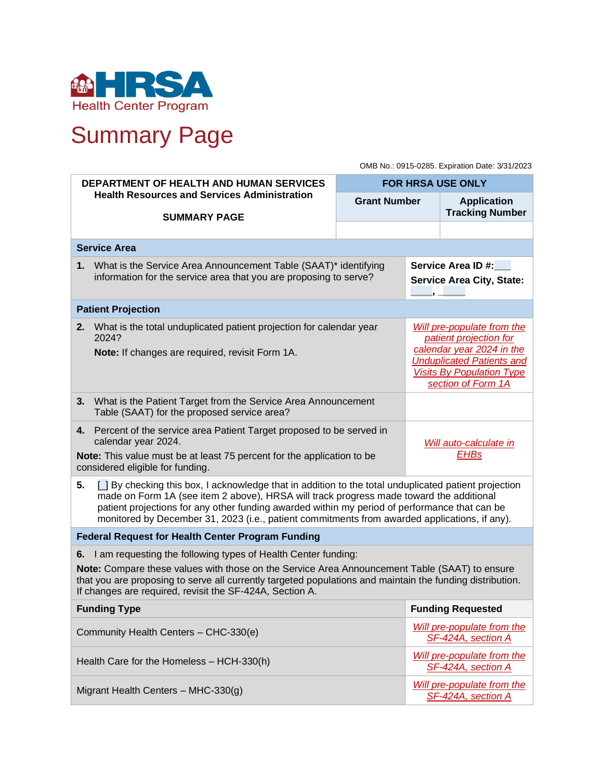

# Summary Page

OMB No.: 0915-0285. Expiration Date: 3/31/2023

| <b>DEPARTMENT OF HEALTH AND HUMAN SERVICES</b>                                                                                                                                                                                                                                                                                                |                                                                                                                                                                                                                                                                                                                                                                                                    | <b>FOR HRSA USE ONLY</b>                                                                                                                                                        |                                                              |                                                         |  |  |  |  |  |
|-----------------------------------------------------------------------------------------------------------------------------------------------------------------------------------------------------------------------------------------------------------------------------------------------------------------------------------------------|----------------------------------------------------------------------------------------------------------------------------------------------------------------------------------------------------------------------------------------------------------------------------------------------------------------------------------------------------------------------------------------------------|---------------------------------------------------------------------------------------------------------------------------------------------------------------------------------|--------------------------------------------------------------|---------------------------------------------------------|--|--|--|--|--|
|                                                                                                                                                                                                                                                                                                                                               | <b>Health Resources and Services Administration</b><br><b>SUMMARY PAGE</b>                                                                                                                                                                                                                                                                                                                         | <b>Grant Number</b>                                                                                                                                                             |                                                              | <b>Application</b><br><b>Tracking Number</b>            |  |  |  |  |  |
|                                                                                                                                                                                                                                                                                                                                               |                                                                                                                                                                                                                                                                                                                                                                                                    |                                                                                                                                                                                 |                                                              |                                                         |  |  |  |  |  |
|                                                                                                                                                                                                                                                                                                                                               | <b>Service Area</b>                                                                                                                                                                                                                                                                                                                                                                                |                                                                                                                                                                                 |                                                              |                                                         |  |  |  |  |  |
|                                                                                                                                                                                                                                                                                                                                               | 1. What is the Service Area Announcement Table (SAAT)* identifying<br>information for the service area that you are proposing to serve?                                                                                                                                                                                                                                                            |                                                                                                                                                                                 | <b>Service Area ID#:</b><br><b>Service Area City, State:</b> |                                                         |  |  |  |  |  |
| <b>Patient Projection</b>                                                                                                                                                                                                                                                                                                                     |                                                                                                                                                                                                                                                                                                                                                                                                    |                                                                                                                                                                                 |                                                              |                                                         |  |  |  |  |  |
| 2.                                                                                                                                                                                                                                                                                                                                            | What is the total unduplicated patient projection for calendar year<br>2024?<br>Note: If changes are required, revisit Form 1A.                                                                                                                                                                                                                                                                    | Will pre-populate from the<br>patient projection for<br>calendar year 2024 in the<br><b>Unduplicated Patients and</b><br><b>Visits By Population Type</b><br>section of Form 1A |                                                              |                                                         |  |  |  |  |  |
| 3.                                                                                                                                                                                                                                                                                                                                            | What is the Patient Target from the Service Area Announcement<br>Table (SAAT) for the proposed service area?                                                                                                                                                                                                                                                                                       |                                                                                                                                                                                 |                                                              |                                                         |  |  |  |  |  |
| 4.                                                                                                                                                                                                                                                                                                                                            | Percent of the service area Patient Target proposed to be served in<br>calendar year 2024.<br>Note: This value must be at least 75 percent for the application to be<br>considered eligible for funding.                                                                                                                                                                                           | Will auto-calculate in<br><b>EHBs</b>                                                                                                                                           |                                                              |                                                         |  |  |  |  |  |
| 5.                                                                                                                                                                                                                                                                                                                                            | [ ] By checking this box, I acknowledge that in addition to the total unduplicated patient projection<br>made on Form 1A (see item 2 above), HRSA will track progress made toward the additional<br>patient projections for any other funding awarded within my period of performance that can be<br>monitored by December 31, 2023 (i.e., patient commitments from awarded applications, if any). |                                                                                                                                                                                 |                                                              |                                                         |  |  |  |  |  |
| <b>Federal Request for Health Center Program Funding</b>                                                                                                                                                                                                                                                                                      |                                                                                                                                                                                                                                                                                                                                                                                                    |                                                                                                                                                                                 |                                                              |                                                         |  |  |  |  |  |
| I am requesting the following types of Health Center funding:<br>6.<br>Note: Compare these values with those on the Service Area Announcement Table (SAAT) to ensure<br>that you are proposing to serve all currently targeted populations and maintain the funding distribution.<br>If changes are required, revisit the SF-424A, Section A. |                                                                                                                                                                                                                                                                                                                                                                                                    |                                                                                                                                                                                 |                                                              |                                                         |  |  |  |  |  |
| <b>Funding Type</b>                                                                                                                                                                                                                                                                                                                           |                                                                                                                                                                                                                                                                                                                                                                                                    |                                                                                                                                                                                 |                                                              | <b>Funding Requested</b>                                |  |  |  |  |  |
| Community Health Centers - CHC-330(e)                                                                                                                                                                                                                                                                                                         |                                                                                                                                                                                                                                                                                                                                                                                                    |                                                                                                                                                                                 |                                                              | <b>Will pre-populate from the</b><br>SF-424A, section A |  |  |  |  |  |
|                                                                                                                                                                                                                                                                                                                                               | Health Care for the Homeless - HCH-330(h)                                                                                                                                                                                                                                                                                                                                                          | Will pre-populate from the<br>SF-424A, section A                                                                                                                                |                                                              |                                                         |  |  |  |  |  |
| Migrant Health Centers - MHC-330(g)                                                                                                                                                                                                                                                                                                           |                                                                                                                                                                                                                                                                                                                                                                                                    |                                                                                                                                                                                 |                                                              | <b>Will pre-populate from the</b><br>SF-424A, section A |  |  |  |  |  |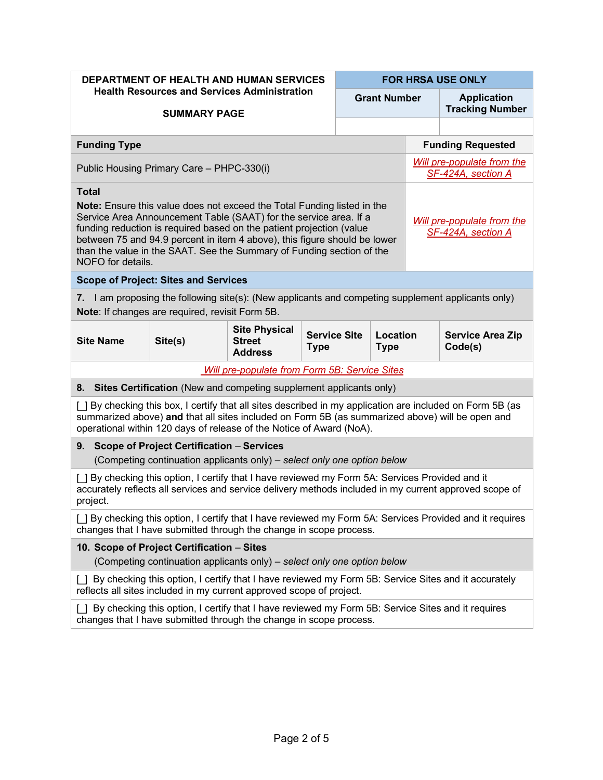| <b>DEPARTMENT OF HEALTH AND HUMAN SERVICES</b>                                                                                                                                                                                                                                                                                                                                                                                                                      |         |                                                         |                                    |  | <b>FOR HRSA USE ONLY</b> |                                                  |                                    |  |  |
|---------------------------------------------------------------------------------------------------------------------------------------------------------------------------------------------------------------------------------------------------------------------------------------------------------------------------------------------------------------------------------------------------------------------------------------------------------------------|---------|---------------------------------------------------------|------------------------------------|--|--------------------------|--------------------------------------------------|------------------------------------|--|--|
| <b>Health Resources and Services Administration</b><br><b>SUMMARY PAGE</b>                                                                                                                                                                                                                                                                                                                                                                                          |         |                                                         | <b>Grant Number</b>                |  |                          | <b>Application</b><br><b>Tracking Number</b>     |                                    |  |  |
|                                                                                                                                                                                                                                                                                                                                                                                                                                                                     |         |                                                         |                                    |  |                          |                                                  |                                    |  |  |
| <b>Funding Type</b>                                                                                                                                                                                                                                                                                                                                                                                                                                                 |         |                                                         |                                    |  |                          |                                                  | <b>Funding Requested</b>           |  |  |
| Public Housing Primary Care - PHPC-330(i)                                                                                                                                                                                                                                                                                                                                                                                                                           |         |                                                         |                                    |  |                          | Will pre-populate from the<br>SF-424A, section A |                                    |  |  |
| <b>Total</b><br>Note: Ensure this value does not exceed the Total Funding listed in the<br>Service Area Announcement Table (SAAT) for the service area. If a<br>Will pre-populate from the<br>funding reduction is required based on the patient projection (value<br>SF-424A, section A<br>between 75 and 94.9 percent in item 4 above), this figure should be lower<br>than the value in the SAAT. See the Summary of Funding section of the<br>NOFO for details. |         |                                                         |                                    |  |                          |                                                  |                                    |  |  |
| <b>Scope of Project: Sites and Services</b>                                                                                                                                                                                                                                                                                                                                                                                                                         |         |                                                         |                                    |  |                          |                                                  |                                    |  |  |
| 7. I am proposing the following site(s): (New applicants and competing supplement applicants only)<br>Note: If changes are required, revisit Form 5B.                                                                                                                                                                                                                                                                                                               |         |                                                         |                                    |  |                          |                                                  |                                    |  |  |
| <b>Site Name</b>                                                                                                                                                                                                                                                                                                                                                                                                                                                    | Site(s) | <b>Site Physical</b><br><b>Street</b><br><b>Address</b> | <b>Service Site</b><br><b>Type</b> |  | Location<br><b>Type</b>  |                                                  | <b>Service Area Zip</b><br>Code(s) |  |  |
| <b>Will pre-populate from Form 5B: Service Sites</b>                                                                                                                                                                                                                                                                                                                                                                                                                |         |                                                         |                                    |  |                          |                                                  |                                    |  |  |
| 8. Sites Certification (New and competing supplement applicants only)                                                                                                                                                                                                                                                                                                                                                                                               |         |                                                         |                                    |  |                          |                                                  |                                    |  |  |
| [ ] By checking this box, I certify that all sites described in my application are included on Form 5B (as<br>summarized above) and that all sites included on Form 5B (as summarized above) will be open and<br>operational within 120 days of release of the Notice of Award (NoA).                                                                                                                                                                               |         |                                                         |                                    |  |                          |                                                  |                                    |  |  |
| <b>Scope of Project Certification - Services</b><br>9.<br>(Competing continuation applicants only) – select only one option below                                                                                                                                                                                                                                                                                                                                   |         |                                                         |                                    |  |                          |                                                  |                                    |  |  |
| [ ] By checking this option, I certify that I have reviewed my Form 5A: Services Provided and it<br>accurately reflects all services and service delivery methods included in my current approved scope of<br>project.                                                                                                                                                                                                                                              |         |                                                         |                                    |  |                          |                                                  |                                    |  |  |
| [ ] By checking this option, I certify that I have reviewed my Form 5A: Services Provided and it requires<br>changes that I have submitted through the change in scope process.                                                                                                                                                                                                                                                                                     |         |                                                         |                                    |  |                          |                                                  |                                    |  |  |
| 10. Scope of Project Certification - Sites<br>(Competing continuation applicants only) – select only one option below                                                                                                                                                                                                                                                                                                                                               |         |                                                         |                                    |  |                          |                                                  |                                    |  |  |
| By checking this option, I certify that I have reviewed my Form 5B: Service Sites and it accurately<br>reflects all sites included in my current approved scope of project.                                                                                                                                                                                                                                                                                         |         |                                                         |                                    |  |                          |                                                  |                                    |  |  |
| By checking this option, I certify that I have reviewed my Form 5B: Service Sites and it requires<br>changes that I have submitted through the change in scope process.                                                                                                                                                                                                                                                                                             |         |                                                         |                                    |  |                          |                                                  |                                    |  |  |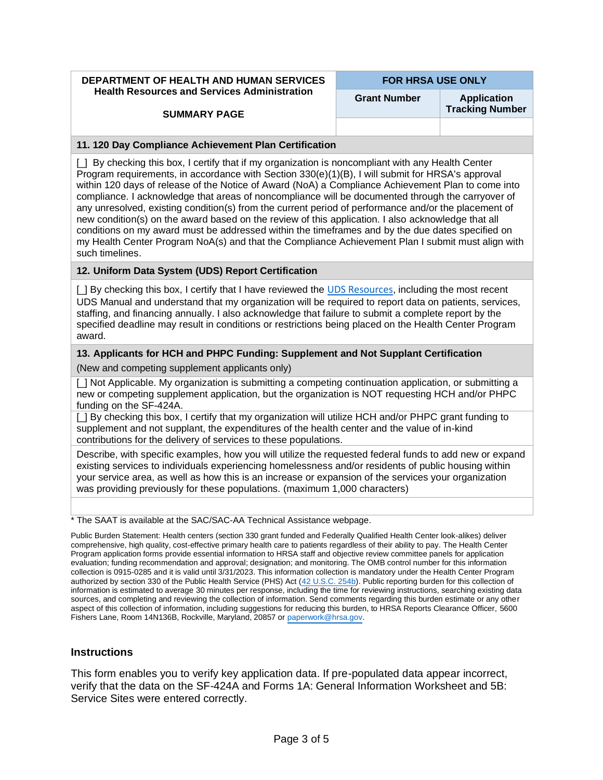**DEPARTMENT OF HEALTH AND HUMAN SERVICES Health Resources and Services Administration** 

**FOR HRSA USE ONLY**

**Grant Number Application** 

**Tracking Number** 

#### **SUMMARY PAGE**

#### **11. 120 Day Compliance Achievement Plan Certification**

[\_] By checking this box, I certify that if my organization is noncompliant with any Health Center Program requirements, in accordance with Section 330(e)(1)(B), I will submit for HRSA's approval within 120 days of release of the Notice of Award (NoA) a Compliance Achievement Plan to come into compliance. I acknowledge that areas of noncompliance will be documented through the carryover of any unresolved, existing condition(s) from the current period of performance and/or the placement of new condition(s) on the award based on the review of this application. I also acknowledge that all conditions on my award must be addressed within the timeframes and by the due dates specified on my Health Center Program NoA(s) and that the Compliance Achievement Plan I submit must align with such timelines.

#### **12. Uniform Data System (UDS) Report Certification**

[ $\parallel$  By checking this box, I certify that I have reviewed the [UDS Resources](https://bphc.hrsa.gov/datareporting/reporting/index.html), including the most recent UDS Manual and understand that my organization will be required to report data on patients, services, staffing, and financing annually. I also acknowledge that failure to submit a complete report by the specified deadline may result in conditions or restrictions being placed on the Health Center Program award.

#### **13. Applicants for HCH and PHPC Funding: Supplement and Not Supplant Certification**

(New and competing supplement applicants only)

[ ] Not Applicable. My organization is submitting a competing continuation application, or submitting a new or competing supplement application, but the organization is NOT requesting HCH and/or PHPC funding on the SF-424A.

[ ] By checking this box, I certify that my organization will utilize HCH and/or PHPC grant funding to supplement and not supplant, the expenditures of the health center and the value of in-kind contributions for the delivery of services to these populations.

Describe, with specific examples, how you will utilize the requested federal funds to add new or expand existing services to individuals experiencing homelessness and/or residents of public housing within your service area, as well as how this is an increase or expansion of the services your organization was providing previously for these populations. (maximum 1,000 characters)

\* The SAAT is available at the SAC/SAC-AA Technical Assistance webpage.

Public Burden Statement: Health centers (section 330 grant funded and Federally Qualified Health Center look-alikes) deliver comprehensive, high quality, cost-effective primary health care to patients regardless of their ability to pay. The Health Center Program application forms provide essential information to HRSA staff and objective review committee panels for application evaluation; funding recommendation and approval; designation; and monitoring. The OMB control number for this information collection is 0915-0285 and it is valid until 3/31/2023. This information collection is mandatory under the Health Center Program authorized by section 330 of the Public Health Service (PHS) Act [\(42 U.S.C. 254b\)](http://uscode.house.gov/view.xhtml?req=granuleid:USC-prelim-title42-section254b&num=0&edition=prelim). Public reporting burden for this collection of information is estimated to average 30 minutes per response, including the time for reviewing instructions, searching existing data sources, and completing and reviewing the collection of information. Send comments regarding this burden estimate or any other aspect of this collection of information, including suggestions for reducing this burden, to HRSA Reports Clearance Officer, 5600 Fishers Lane, Room 14N136B, Rockville, Maryland, 20857 or [paperwork@hrsa.gov](mailto:paperwork@hrsa.gov).

## **Instructions**

This form enables you to verify key application data. If pre-populated data appear incorrect, verify that the data on the SF-424A and Forms 1A: General Information Worksheet and 5B: Service Sites were entered correctly.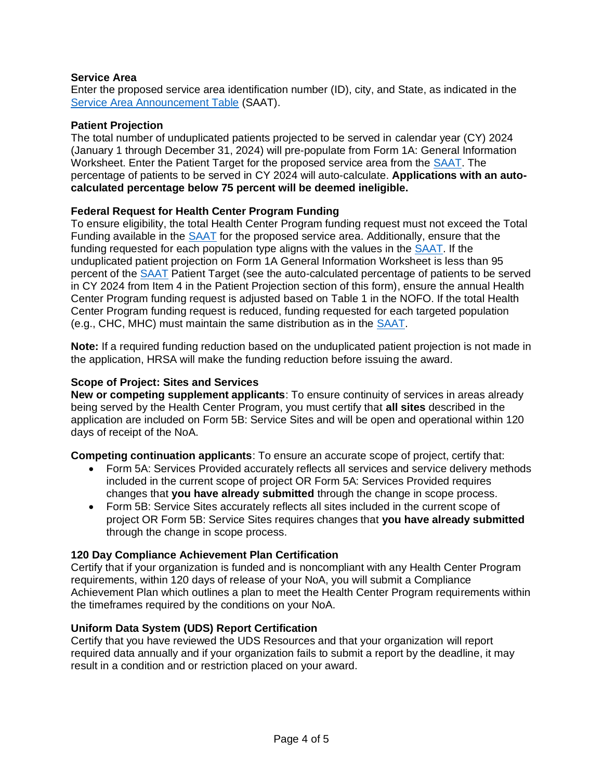# **Service Area**

Enter the proposed service area identification number (ID), city, and State, as indicated in the [Service Area Announcement Table](https://bphc.hrsa.gov/sac/) (SAAT).

## **Patient Projection**

The total number of unduplicated patients projected to be served in calendar year (CY) 2024 (January 1 through December 31, 2024) will pre-populate from Form 1A: General Information Worksheet. Enter the Patient Target for the proposed service area from the [SAAT.](https://bphc.hrsa.gov/sac/) The percentage of patients to be served in CY 2024 will auto-calculate. **Applications with an autocalculated percentage below 75 percent will be deemed ineligible.**

## **Federal Request for Health Center Program Funding**

To ensure eligibility, the total Health Center Program funding request must not exceed the Total Funding available in the [SAAT](https://bphc.hrsa.gov/sac/) for the proposed service area. Additionally, ensure that the funding requested for each population type aligns with the values in the [SAAT.](https://bphc.hrsa.gov/sac/) If the unduplicated patient projection on Form 1A General Information Worksheet is less than 95 percent of the [SAAT](https://bphc.hrsa.gov/sac/) Patient Target (see the auto-calculated percentage of patients to be served in CY 2024 from Item 4 in the Patient Projection section of this form), ensure the annual Health Center Program funding request is adjusted based on Table 1 in the NOFO. If the total Health Center Program funding request is reduced, funding requested for each targeted population (e.g., CHC, MHC) must maintain the same distribution as in the [SAAT.](https://bphc.hrsa.gov/sac/)

**Note:** If a required funding reduction based on the unduplicated patient projection is not made in the application, HRSA will make the funding reduction before issuing the award.

#### **Scope of Project: Sites and Services**

**New or competing supplement applicants**: To ensure continuity of services in areas already being served by the Health Center Program, you must certify that **all sites** described in the application are included on Form 5B: Service Sites and will be open and operational within 120 days of receipt of the NoA.

**Competing continuation applicants**: To ensure an accurate scope of project, certify that:

- Form 5A: Services Provided accurately reflects all services and service delivery methods included in the current scope of project OR Form 5A: Services Provided requires changes that **you have already submitted** through the change in scope process.
- Form 5B: Service Sites accurately reflects all sites included in the current scope of project OR Form 5B: Service Sites requires changes that **you have already submitted** through the change in scope process.

## **120 Day Compliance Achievement Plan Certification**

Certify that if your organization is funded and is noncompliant with any Health Center Program requirements, within 120 days of release of your NoA, you will submit a Compliance Achievement Plan which outlines a plan to meet the Health Center Program requirements within the timeframes required by the conditions on your NoA.

#### **Uniform Data System (UDS) Report Certification**

Certify that you have reviewed the UDS Resources and that your organization will report required data annually and if your organization fails to submit a report by the deadline, it may result in a condition and or restriction placed on your award.